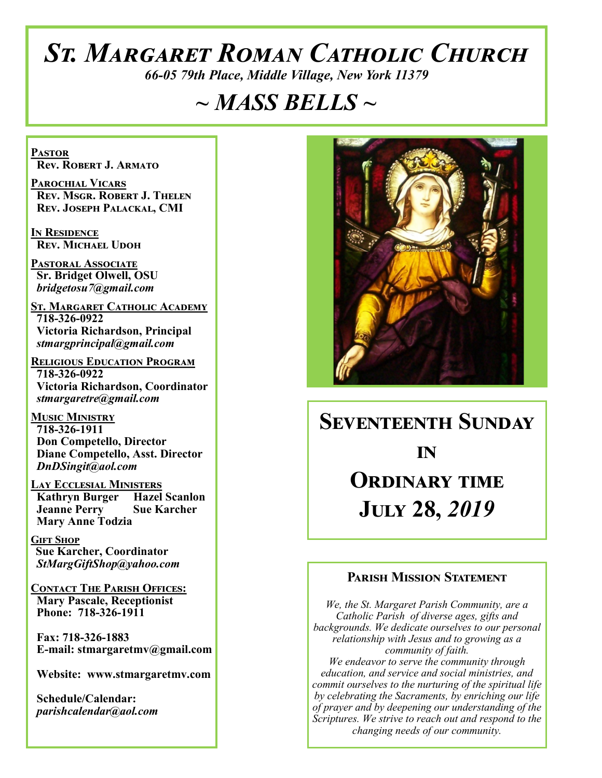# *St. Margaret Roman Catholic Church*

*66-05 79th Place, Middle Village, New York 11379*

## *~ MASS BELLS ~*

**Pastor Rev. Robert J. Armato**

**Parochial Vicars Rev. Msgr. Robert J. Thelen Rev. Joseph Palackal, CMI**

**In Residence Rev. Michael Udoh**

**Pastoral Associate Sr. Bridget Olwell, OSU**  *bridgetosu7@gmail.com*

**St. Margaret Catholic Academy 718-326-0922 Victoria Richardson, Principal**  *stmargprincipal@gmail.com*

**Religious Education Program 718-326-0922 Victoria Richardson, Coordinator** *stmargaretre@gmail.com*

**Music Ministry 718-326-1911 Don Competello, Director Diane Competello, Asst. Director** *DnDSingit@aol.com*

**Lay Ecclesial Ministers Kathryn Burger Hazel Scanlon Jeanne Perry Sue Karcher Mary Anne Todzia**

**Gift Shop Sue Karcher, Coordinator** *StMargGiftShop@yahoo.com*

**Contact The Parish Offices: Mary Pascale, Receptionist Phone: 718-326-1911** 

 **Fax: 718-326-1883 E-mail: stmargaretmv@gmail.com**

 **Website: www.stmargaretmv.com**

 **Schedule/Calendar:** *parishcalendar@aol.com* 



## **Seventeenth Sunday** *in* **Ordinary time**

**July 28,** *2019* 

#### **Parish Mission Statement**

*We, the St. Margaret Parish Community, are a Catholic Parish of diverse ages, gifts and backgrounds. We dedicate ourselves to our personal relationship with Jesus and to growing as a community of faith. We endeavor to serve the community through education, and service and social ministries, and commit ourselves to the nurturing of the spiritual life by celebrating the Sacraments, by enriching our life* 

*of prayer and by deepening our understanding of the Scriptures. We strive to reach out and respond to the changing needs of our community.*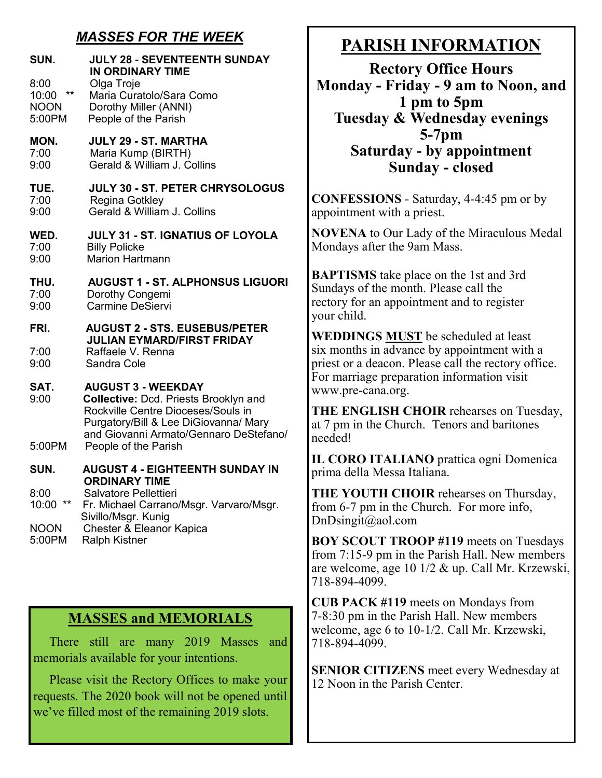## *MASSES FOR THE WEEK*

| SUN.                                                   | <b>JULY 28 - SEVENTEENTH SUNDAY</b><br>IN ORDINARY TIME                                                                                                                                            |
|--------------------------------------------------------|----------------------------------------------------------------------------------------------------------------------------------------------------------------------------------------------------|
| 8:00<br>$\star\star$<br>10:00<br><b>NOON</b><br>5:00PM | Olga Troje<br>Maria Curatolo/Sara Como<br>Dorothy Miller (ANNI)<br>People of the Parish                                                                                                            |
| MON.                                                   | <b>JULY 29 - ST. MARTHA</b>                                                                                                                                                                        |
| 7:00                                                   | Maria Kump (BIRTH)                                                                                                                                                                                 |
| 9:00                                                   | Gerald & William J. Collins                                                                                                                                                                        |
| TUE.                                                   | <b>JULY 30 - ST. PETER CHRYSOLOGUS</b>                                                                                                                                                             |
| 7:00                                                   | Regina Gotkley                                                                                                                                                                                     |
| 9:00                                                   | Gerald & William J. Collins                                                                                                                                                                        |
| WED.                                                   | <b>JULY 31 - ST. IGNATIUS OF LOYOLA</b>                                                                                                                                                            |
| 7:00                                                   | <b>Billy Policke</b>                                                                                                                                                                               |
| 9:00                                                   | <b>Marion Hartmann</b>                                                                                                                                                                             |
| THU.                                                   | <b>AUGUST 1 - ST. ALPHONSUS LIGUORI</b>                                                                                                                                                            |
| 7:00                                                   | Dorothy Congemi                                                                                                                                                                                    |
| 9:00                                                   | Carmine DeSiervi                                                                                                                                                                                   |
| FRI.<br>7:00<br>9:00                                   | <b>AUGUST 2 - STS. EUSEBUS/PETER</b><br><b>JULIAN EYMARD/FIRST FRIDAY</b><br>Raffaele V. Renna<br>Sandra Cole                                                                                      |
| SAT.<br>9:00                                           | <b>AUGUST 3 - WEEKDAY</b><br><b>Collective: Dcd. Priests Brooklyn and</b><br>Rockville Centre Dioceses/Souls in<br>Purgatory/Bill & Lee DiGiovanna/ Mary<br>and Giovanni Armato/Gennaro DeStefano/ |
| 5:00PM                                                 | People of the Parish                                                                                                                                                                               |
| SUN.                                                   | <b>AUGUST 4 - EIGHTEENTH SUNDAY IN</b><br><b>ORDINARY TIME</b>                                                                                                                                     |
| 8:00                                                   | Salvatore Pellettieri                                                                                                                                                                              |
| $***$                                                  | Fr. Michael Carrano/Msgr. Varvaro/Msgr.                                                                                                                                                            |
| 10:00                                                  | Sivillo/Msgr. Kunig                                                                                                                                                                                |
| <b>NOON</b>                                            | Chester & Eleanor Kapica                                                                                                                                                                           |
| 5:00PM                                                 | <b>Ralph Kistner</b>                                                                                                                                                                               |

#### **MASSES and MEMORIALS**

 There still are many 2019 Masses and memorials available for your intentions.

 Please visit the Rectory Offices to make your requests. The 2020 book will not be opened until we've filled most of the remaining 2019 slots.

## **PARISH INFORMATION**

**Rectory Office Hours Monday - Friday - 9 am to Noon, and 1 pm to 5pm Tuesday & Wednesday evenings 5-7pm Saturday - by appointment Sunday - closed**

**CONFESSIONS** - Saturday, 4-4:45 pm or by appointment with a priest.

**NOVENA** to Our Lady of the Miraculous Medal Mondays after the 9am Mass.

**BAPTISMS** take place on the 1st and 3rd Sundays of the month. Please call the rectory for an appointment and to register your child.

**WEDDINGS MUST** be scheduled at least six months in advance by appointment with a priest or a deacon. Please call the rectory office. For marriage preparation information visit www.pre-cana.org.

**THE ENGLISH CHOIR** rehearses on Tuesday, at 7 pm in the Church. Tenors and baritones needed!

**IL CORO ITALIANO** prattica ogni Domenica prima della Messa Italiana.

**THE YOUTH CHOIR** rehearses on Thursday, from 6-7 pm in the Church. For more info, DnDsingit@aol.com

**BOY SCOUT TROOP #119** meets on Tuesdays from 7:15-9 pm in the Parish Hall. New members are welcome, age 10 1/2 & up. Call Mr. Krzewski, 718-894-4099.

**CUB PACK #119** meets on Mondays from 7-8:30 pm in the Parish Hall. New members welcome, age 6 to 10-1/2. Call Mr. Krzewski, 718-894-4099.

**SENIOR CITIZENS** meet every Wednesday at 12 Noon in the Parish Center.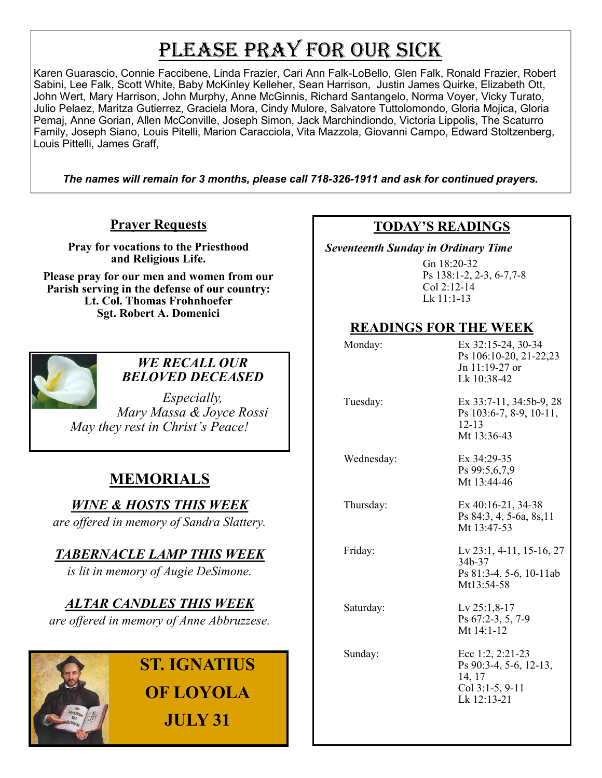# PLEASE PRAY FOR OUR SICK

Karen Guarascio, Connie Faccibene, Linda Frazier, Cari Ann Falk-LoBello, Glen Falk, Ronald Frazier, Robert Sabini, Lee Falk, Scott White, Baby McKinley Kelleher, Sean Harrison, Justin James Quirke, Elizabeth Ott, John Wert, Mary Harrison, John Murphy, Anne McGinnis, Richard Santangelo, Norma Voyer, Vicky Turato, Julio Pelaez, Maritza Gutierrez, Graciela Mora, Cindy Mulore, Salvatore Tuttolomondo, Gloria Mojica, Gloria Pemaj, Anne Gorian, Allen McConville, Joseph Simon, Jack Marchindiondo, Victoria Lippolis, The Scaturro Family, Joseph Siano, Louis Pitelli, Marion Caracciola, Vita Mazzola, Giovanni Campo, Edward Stoltzenberg, Louis Pittelli, James Graff,

*The names will remain for 3 months, please call 718-326-1911 and ask for continued prayers.*

#### **Prayer Requests**

**Pray for vocations to the Priesthood and Religious Life.** 

**Please pray for our men and women from our Parish serving in the defense of our country: Lt. Col. Thomas Frohnhoefer Sgt. Robert A. Domenici** 



#### *WE RECALL OUR BELOVED DECEASED*

*Especially, Mary Massa & Joyce Rossi May they rest in Christ's Peace!*

## **MEMORIALS**

*WINE & HOSTS THIS WEEK*

*are offered in memory of Sandra Slattery.*

## *TABERNACLE LAMP THIS WEEK*

*is lit in memory of Augie DeSimone.*

*ALTAR CANDLES THIS WEEK*

*are offered in memory of Anne Abbruzzese.* 

## **ST. IGNATIUS OF LOYOLA JULY 31**

#### **TODAY'S READINGS**

 *Seventeenth Sunday in Ordinary Time* 

Gn 18:20-32 Ps 138:1-2, 2-3, 6-7,7-8 Col 2:12-14 Lk 11:1-13

## **READINGS FOR THE WEEK**

| Monday:    | Ex 32:15-24, 30-34<br>Ps 106:10-20, 21-22,23<br>Jn 11:19-27 or<br>Lk 10:38-42            |
|------------|------------------------------------------------------------------------------------------|
| Tuesday:   | Ex 33:7-11, 34:5b-9, 28<br>Ps 103:6-7, 8-9, 10-11,<br>$12 - 13$<br>Mt 13:36-43           |
| Wednesday: | Ex 34:29-35<br>Ps 99:5,6,7,9<br>Mt 13:44-46                                              |
| Thursday:  | Ex $40:16-21$ , $34-38$<br>Ps 84:3, 4, 5-6a, 8s, 11<br>Mt 13:47-53                       |
| Friday:    | Lv $23:1, 4-11, 15-16, 27$<br>34b-37<br>Ps $81:3-4, 5-6, 10-11ab$<br>Mt13:54-58          |
| Saturday:  | Lv $25:1,8-17$<br>Ps 67:2-3, 5, 7-9<br>Mt $14:1-12$                                      |
| Sunday:    | Ecc 1:2, $2:21-23$<br>Ps 90:3-4, 5-6, 12-13,<br>14, 17<br>Col 3:1-5, 9-11<br>Lk 12:13-21 |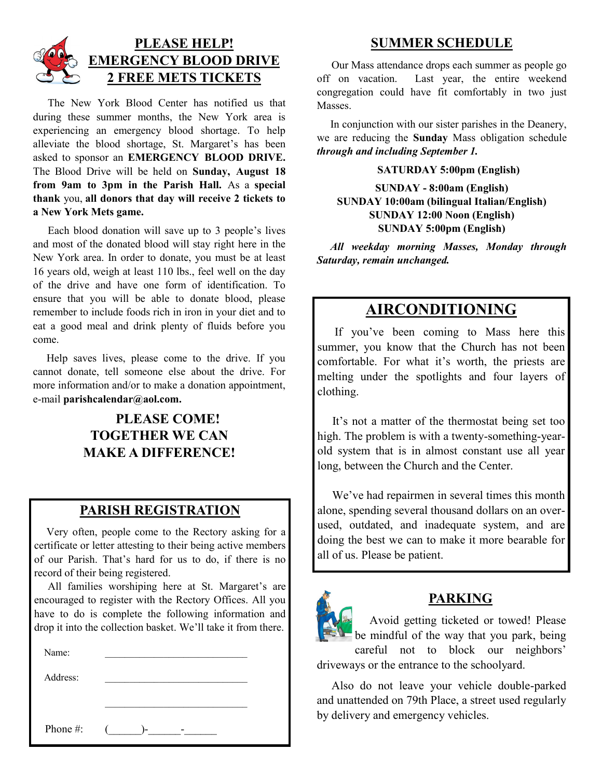

 The New York Blood Center has notified us that during these summer months, the New York area is experiencing an emergency blood shortage. To help alleviate the blood shortage, St. Margaret's has been asked to sponsor an **EMERGENCY BLOOD DRIVE.**  The Blood Drive will be held on **Sunday, August 18 from 9am to 3pm in the Parish Hall.** As a **special thank** you, **all donors that day will receive 2 tickets to a New York Mets game.**

 Each blood donation will save up to 3 people's lives and most of the donated blood will stay right here in the New York area. In order to donate, you must be at least 16 years old, weigh at least 110 lbs., feel well on the day of the drive and have one form of identification. To ensure that you will be able to donate blood, please remember to include foods rich in iron in your diet and to eat a good meal and drink plenty of fluids before you come.

 Help saves lives, please come to the drive. If you cannot donate, tell someone else about the drive. For more information and/or to make a donation appointment, e-mail **parishcalendar@aol.com.**

## **PLEASE COME! TOGETHER WE CAN MAKE A DIFFERENCE!**

#### **PARISH REGISTRATION**

 Very often, people come to the Rectory asking for a certificate or letter attesting to their being active members of our Parish. That's hard for us to do, if there is no record of their being registered.

 All families worshiping here at St. Margaret's are encouraged to register with the Rectory Offices. All you have to do is complete the following information and drop it into the collection basket. We'll take it from there.

| Name:    |        |
|----------|--------|
| Address: |        |
|          |        |
| Phone #: | $($ )- |

#### **SUMMER SCHEDULE**

 Our Mass attendance drops each summer as people go off on vacation. Last year, the entire weekend congregation could have fit comfortably in two just Masses.

 In conjunction with our sister parishes in the Deanery, we are reducing the **Sunday** Mass obligation schedule *through and including September 1.* 

#### **SATURDAY 5:00pm (English)**

**SUNDAY - 8:00am (English) SUNDAY 10:00am (bilingual Italian/English) SUNDAY 12:00 Noon (English) SUNDAY 5:00pm (English)**

*All weekday morning Masses, Monday through Saturday, remain unchanged.*

## **AIRCONDITIONING**

 If you've been coming to Mass here this summer, you know that the Church has not been comfortable. For what it's worth, the priests are melting under the spotlights and four layers of clothing.

 It's not a matter of the thermostat being set too high. The problem is with a twenty-something-yearold system that is in almost constant use all year long, between the Church and the Center.

 We've had repairmen in several times this month alone, spending several thousand dollars on an overused, outdated, and inadequate system, and are doing the best we can to make it more bearable for all of us. Please be patient.



#### **PARKING**

 Avoid getting ticketed or towed! Please be mindful of the way that you park, being careful not to block our neighbors' driveways or the entrance to the schoolyard.

 Also do not leave your vehicle double-parked and unattended on 79th Place, a street used regularly by delivery and emergency vehicles.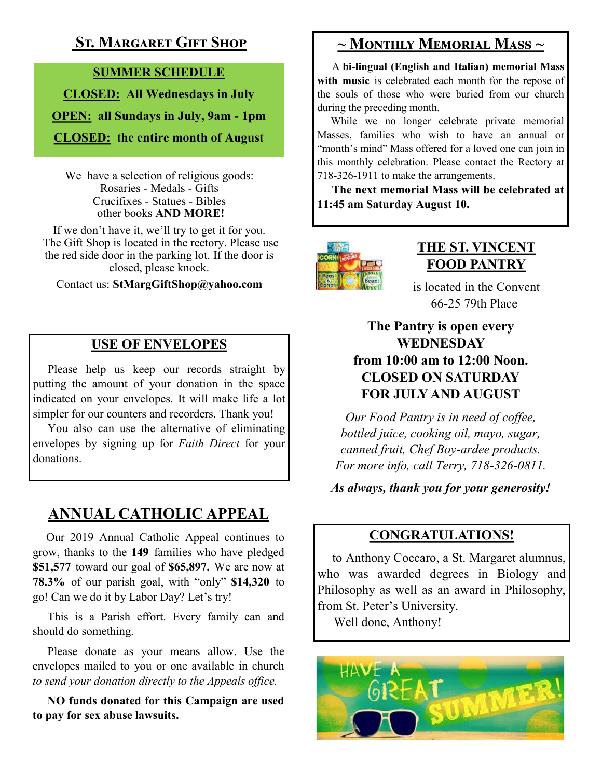## **St. Margaret Gift Shop**

#### **SUMMER SCHEDULE**

**CLOSED: All Wednesdays in July OPEN: all Sundays in July, 9am - 1pm CLOSED: the entire month of August**

We have a selection of religious goods: Rosaries - Medals - Gifts Crucifixes - Statues - Bibles other books **AND MORE!**

If we don't have it, we'll try to get it for you. The Gift Shop is located in the rectory. Please use the red side door in the parking lot. If the door is closed, please knock.

Contact us: **StMargGiftShop@yahoo.com**

### **USE OF ENVELOPES**

 Please help us keep our records straight by putting the amount of your donation in the space indicated on your envelopes. It will make life a lot simpler for our counters and recorders. Thank you!

 You also can use the alternative of eliminating envelopes by signing up for *Faith Direct* for your donations.

## **ANNUAL CATHOLIC APPEAL**

 Our 2019 Annual Catholic Appeal continues to grow, thanks to the **149** families who have pledged **\$51,577** toward our goal of **\$65,897.** We are now at **78.3%** of our parish goal, with "only" **\$14,320** to go! Can we do it by Labor Day? Let's try!

 This is a Parish effort. Every family can and should do something.

 Please donate as your means allow. Use the envelopes mailed to you or one available in church *to send your donation directly to the Appeals office.*

 **NO funds donated for this Campaign are used to pay for sex abuse lawsuits.**

## **~ Monthly Memorial Mass ~**

 A **bi-lingual (English and Italian) memorial Mass**  with music is celebrated each month for the repose of the souls of those who were buried from our church during the preceding month.

 While we no longer celebrate private memorial Masses, families who wish to have an annual or "month's mind" Mass offered for a loved one can join in this monthly celebration. Please contact the Rectory at 718-326-1911 to make the arrangements.

 **The next memorial Mass will be celebrated at 11:45 am Saturday August 10.** 



### **THE ST. VINCENT FOOD PANTRY**

is located in the Convent 66-25 79th Place

#### **The Pantry is open every WEDNESDAY from 10:00 am to 12:00 Noon. CLOSED ON SATURDAY FOR JULY AND AUGUST**

*Our Food Pantry is in need of coffee, bottled juice, cooking oil, mayo, sugar, canned fruit, Chef Boy-ardee products. For more info, call Terry, 718-326-0811.*

*As always, thank you for your generosity!*

#### **CONGRATULATIONS!**

 to Anthony Coccaro, a St. Margaret alumnus, who was awarded degrees in Biology and Philosophy as well as an award in Philosophy, from St. Peter's University.

Well done, Anthony!